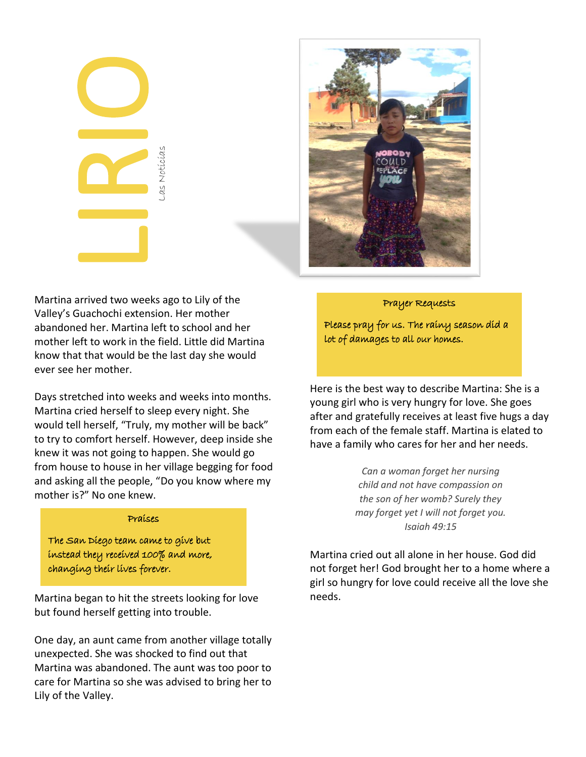| Las Noticias |
|--------------|
|              |



Martina arrived two weeks ago to Lily of the Valley's Guachochi extension. Her mother abandoned her. Martina left to school and her mother left to work in the field. Little did Martina know that that would be the last day she would ever see her mother.

Days stretched into weeks and weeks into months. Martina cried herself to sleep every night. She would tell herself, "Truly, my mother will be back" to try to comfort herself. However, deep inside she knew it was not going to happen. She would go from house to house in her village begging for food and asking all the people, "Do you know where my mother is?" No one knew.

## Praises

The San Diego team came to give but instead they received 100% and more, changing their lives forever.

Martina began to hit the streets looking for love but found herself getting into trouble.

One day, an aunt came from another village totally unexpected. She was shocked to find out that Martina was abandoned. The aunt was too poor to care for Martina so she was advised to bring her to Lily of the Valley.

## Prayer Requests

Please pray for us. The rainy season did a lot of damages to all our homes.

Here is the best way to describe Martina: She is a young girl who is very hungry for love. She goes after and gratefully receives at least five hugs a day from each of the female staff. Martina is elated to have a family who cares for her and her needs.

> *Can a woman forget her nursing child and not have compassion on the son of her womb? Surely they may forget yet I will not forget you. Isaiah 49:15*

Martina cried out all alone in her house. God did not forget her! God brought her to a home where a girl so hungry for love could receive all the love she needs.